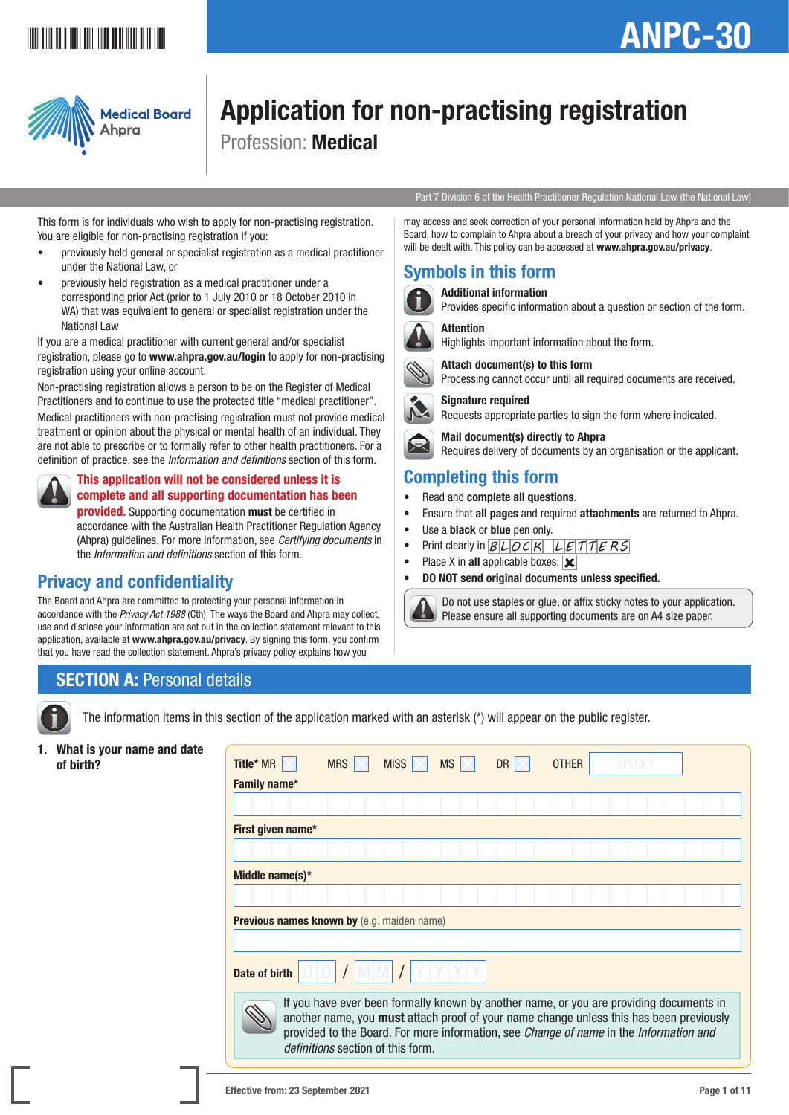## **ANPC AND AND AND AND AND AND A**

# ANPC-30



## Application for non-practising registration Profession: Medical

Part 7 Division 6 of the Health Practitioner Regulation National Law (the National Law)

This form is for individuals who wish to apply for non-practising registration. You are eligible for non-practising registration if you:

- previously held general or specialist registration as a medical practitioner under the National Law, or
- previously held registration as a medical practitioner under a corresponding prior Act (prior to 1 July 2010 or 18 October 2010 in WA) that was equivalent to general or specialist registration under the National Law

If you are a medical practitioner with current general and/or specialist registration, please go to [www.ahpra.gov.au/login](http://www.ahpra.gov.au/login) to apply for non-practising registration using your online account.

Non-practising registration allows a person to be on the Register of Medical Practitioners and to continue to use the protected title "medical practitioner".

Medical practitioners with non-practising registration must not provide medical treatment or opinion about the physical or mental health of an individual. They are not able to prescribe or to formally refer to other health practitioners. For a definition of practice, see the *Information and definitions* section of this form.



## This application will not be considered unless it is complete and all supporting documentation has been

provided. Supporting documentation must be certified in accordance with the Australian Health Practitioner Regulation Agency (Ahpra) guidelines. For more information, see *Certifying documents* in the *Information and definitions* section of this form.

## Privacy and confidentiality

The Board and Ahpra are committed to protecting your personal information in accordance with the *Privacy Act 1988* (Cth). The ways the Board and Ahpra may collect, use and disclose your information are set out in the collection statement relevant to this application, available at www.ahpra.gov.au/privacy. By signing this form, you confirm that you have read the collection statement. Ahpra's privacy policy explains how you

#### may access and seek correction of your personal information held by Ahpra and the Board, how to complain to Ahpra about a breach of your privacy and how your complaint will be dealt with. This policy can be accessed at www.ahpra.gov.au/privacy.

## Symbols in this form



Additional information

Attention

Provides specific information about a question or section of the form.



Highlights important information about the form.

Attach document(s) to this form



Processing cannot occur until all required documents are received. Signature required

Requests appropriate parties to sign the form where indicated.

 Mail document(s) directly to Ahpra Requires delivery of documents by an organisation or the applicant.

## Completing this form

- Read and complete all questions.
- Ensure that all pages and required attachments are returned to Ahpra.
- Use a **black** or **blue** pen only.
- Print clearly in  $B L O C K L E T T E R S$
- Place X in all applicable boxes:  $\overline{\mathbf{x}}$
- DO NOT send original documents unless specified.



 Do not use staples or glue, or affix sticky notes to your application. Please ensure all supporting documents are on A4 size paper.

## **SECTION A: Personal details**

The information items in this section of the application marked with an asterisk (\*) will appear on the public register.

1. What is your name and date

| what is your name and date<br>of birth? | <b>Title*</b> MR $\vert \times \vert$             | MRS | <b>MISS</b>                       | MS | DR | <b>OTHER</b> | <b>SPECIFY</b>                                                                                                                                                                                                                                                               |  |
|-----------------------------------------|---------------------------------------------------|-----|-----------------------------------|----|----|--------------|------------------------------------------------------------------------------------------------------------------------------------------------------------------------------------------------------------------------------------------------------------------------------|--|
|                                         | Family name*                                      |     |                                   |    |    |              |                                                                                                                                                                                                                                                                              |  |
|                                         |                                                   |     |                                   |    |    |              |                                                                                                                                                                                                                                                                              |  |
|                                         | First given name*                                 |     |                                   |    |    |              |                                                                                                                                                                                                                                                                              |  |
|                                         |                                                   |     |                                   |    |    |              |                                                                                                                                                                                                                                                                              |  |
|                                         | Middle name(s)*                                   |     |                                   |    |    |              |                                                                                                                                                                                                                                                                              |  |
|                                         |                                                   |     |                                   |    |    |              |                                                                                                                                                                                                                                                                              |  |
|                                         | <b>Previous names known by (e.g. maiden name)</b> |     |                                   |    |    |              |                                                                                                                                                                                                                                                                              |  |
|                                         |                                                   |     |                                   |    |    |              |                                                                                                                                                                                                                                                                              |  |
|                                         | Date of birth                                     |     |                                   |    |    |              |                                                                                                                                                                                                                                                                              |  |
|                                         |                                                   |     | definitions section of this form. |    |    |              | If you have ever been formally known by another name, or you are providing documents in<br>another name, you must attach proof of your name change unless this has been previously<br>provided to the Board. For more information, see Change of name in the Information and |  |
|                                         |                                                   |     |                                   |    |    |              |                                                                                                                                                                                                                                                                              |  |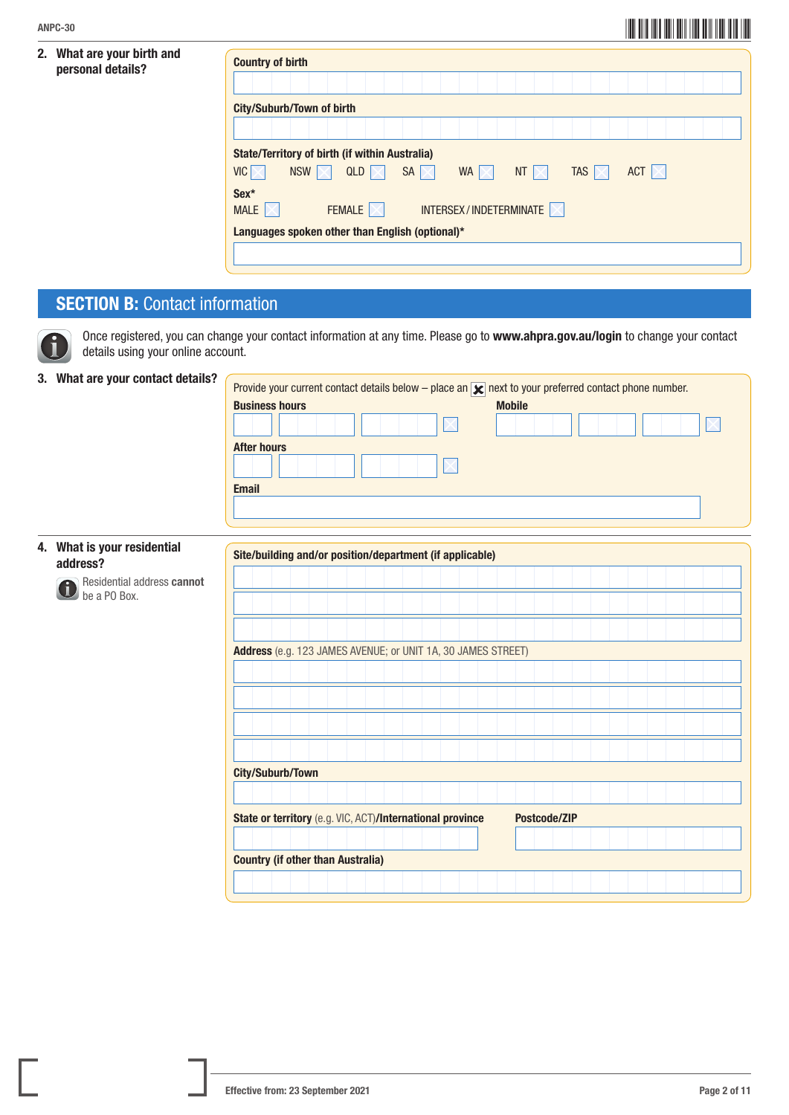#### 2. What are your birth and personal details?

| <b>Country of birth</b>                               |     |                         |                        |                        |             |                  |                  |  |  |
|-------------------------------------------------------|-----|-------------------------|------------------------|------------------------|-------------|------------------|------------------|--|--|
|                                                       |     |                         |                        |                        |             |                  |                  |  |  |
| <b>City/Suburb/Town of birth</b>                      |     |                         |                        |                        |             |                  |                  |  |  |
|                                                       |     |                         |                        |                        |             |                  |                  |  |  |
| <b>State/Territory of birth (if within Australia)</b> |     |                         |                        |                        |             |                  |                  |  |  |
| $VIC \times$                                          | NSW | QLD $\overline{\times}$ | SA $\overline{\times}$ | WA $\mathbb{K}$        | NT $\times$ | TAS $\mathbb{R}$ | ACT $\mathbb{K}$ |  |  |
| Sex*                                                  |     |                         |                        |                        |             |                  |                  |  |  |
| <b>MALE</b>                                           |     | FEMALE  X               |                        | INTERSEX/INDETERMINATE |             |                  |                  |  |  |
| Languages spoken other than English (optional)*       |     |                         |                        |                        |             |                  |                  |  |  |

## **SECTION B: Contact information**



Once registered, you can change your contact information at any time. Please go to www.ahpra.gov.au/login to change your contact details using your online account.

#### 3. What are your contact details? Provide your current contact details below – place an 14 port to your preferred contact phone number.

|                                            | Provide your current contact details below – place an $\mathbf{x}$ next to your preferred contact phone number. |  |
|--------------------------------------------|-----------------------------------------------------------------------------------------------------------------|--|
|                                            | <b>Business hours</b><br><b>Mobile</b>                                                                          |  |
|                                            | <b>After hours</b>                                                                                              |  |
|                                            | <b>Email</b>                                                                                                    |  |
| 4. What is your residential<br>address?    | Site/building and/or position/department (if applicable)                                                        |  |
| Residential address cannot<br>be a PO Box. |                                                                                                                 |  |
|                                            |                                                                                                                 |  |

|  | Address (e.g. 123 JAMES AVENUE; or UNIT 1A, 30 JAMES STREET) |  |  |  |  |  |  |                     |  |  |  |  |  |  |
|--|--------------------------------------------------------------|--|--|--|--|--|--|---------------------|--|--|--|--|--|--|
|  |                                                              |  |  |  |  |  |  |                     |  |  |  |  |  |  |
|  |                                                              |  |  |  |  |  |  |                     |  |  |  |  |  |  |
|  |                                                              |  |  |  |  |  |  |                     |  |  |  |  |  |  |
|  |                                                              |  |  |  |  |  |  |                     |  |  |  |  |  |  |
|  |                                                              |  |  |  |  |  |  |                     |  |  |  |  |  |  |
|  |                                                              |  |  |  |  |  |  |                     |  |  |  |  |  |  |
|  | <b>City/Suburb/Town</b>                                      |  |  |  |  |  |  |                     |  |  |  |  |  |  |
|  |                                                              |  |  |  |  |  |  |                     |  |  |  |  |  |  |
|  | State or territory (e.g. VIC, ACT)/International province    |  |  |  |  |  |  | <b>Postcode/ZIP</b> |  |  |  |  |  |  |
|  |                                                              |  |  |  |  |  |  |                     |  |  |  |  |  |  |
|  | <b>Country (if other than Australia)</b>                     |  |  |  |  |  |  |                     |  |  |  |  |  |  |
|  |                                                              |  |  |  |  |  |  |                     |  |  |  |  |  |  |
|  |                                                              |  |  |  |  |  |  |                     |  |  |  |  |  |  |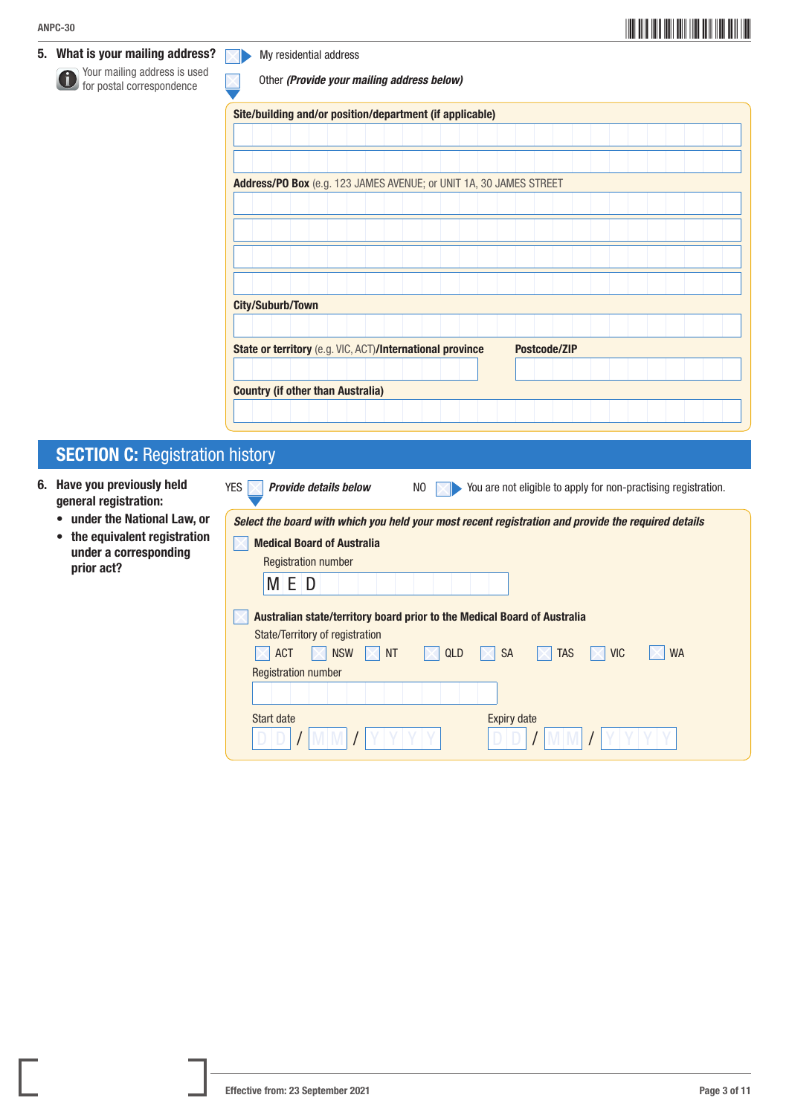5. What is your mailing address?

 Your mailing address is used for postal correspondence

 $\nabla$ My residential address

Other *(Provide your mailing address below)*

Site/building and/or position/department (if applicable)

| one bullully and bostubilly acpartment to applicable)              |  |  |  |  |  |  |                     |  |  |  |  |  |  |
|--------------------------------------------------------------------|--|--|--|--|--|--|---------------------|--|--|--|--|--|--|
|                                                                    |  |  |  |  |  |  |                     |  |  |  |  |  |  |
|                                                                    |  |  |  |  |  |  |                     |  |  |  |  |  |  |
|                                                                    |  |  |  |  |  |  |                     |  |  |  |  |  |  |
|                                                                    |  |  |  |  |  |  |                     |  |  |  |  |  |  |
| Address/PO Box (e.g. 123 JAMES AVENUE; or UNIT 1A, 30 JAMES STREET |  |  |  |  |  |  |                     |  |  |  |  |  |  |
|                                                                    |  |  |  |  |  |  |                     |  |  |  |  |  |  |
|                                                                    |  |  |  |  |  |  |                     |  |  |  |  |  |  |
|                                                                    |  |  |  |  |  |  |                     |  |  |  |  |  |  |
|                                                                    |  |  |  |  |  |  |                     |  |  |  |  |  |  |
|                                                                    |  |  |  |  |  |  |                     |  |  |  |  |  |  |
|                                                                    |  |  |  |  |  |  |                     |  |  |  |  |  |  |
|                                                                    |  |  |  |  |  |  |                     |  |  |  |  |  |  |
| <b>City/Suburb/Town</b>                                            |  |  |  |  |  |  |                     |  |  |  |  |  |  |
|                                                                    |  |  |  |  |  |  |                     |  |  |  |  |  |  |
|                                                                    |  |  |  |  |  |  |                     |  |  |  |  |  |  |
| State or territory (e.g. VIC, ACT)/International province          |  |  |  |  |  |  | <b>Postcode/ZIP</b> |  |  |  |  |  |  |
|                                                                    |  |  |  |  |  |  |                     |  |  |  |  |  |  |
|                                                                    |  |  |  |  |  |  |                     |  |  |  |  |  |  |
| <b>Country (if other than Australia)</b>                           |  |  |  |  |  |  |                     |  |  |  |  |  |  |
|                                                                    |  |  |  |  |  |  |                     |  |  |  |  |  |  |
|                                                                    |  |  |  |  |  |  |                     |  |  |  |  |  |  |

## **SECTION C: Registration history**

- 6. Have you previously held general registration:
	- under the National Law, or
	- the equivalent registration under a corresponding prior act?

| YES<br><b>Provide details below</b>                               | You are not eligible to apply for non-practising registration.<br>NO.                                                                 |
|-------------------------------------------------------------------|---------------------------------------------------------------------------------------------------------------------------------------|
|                                                                   | Select the board with which you held your most recent registration and provide the required details                                   |
| <b>Medical Board of Australia</b>                                 |                                                                                                                                       |
| <b>Registration number</b>                                        |                                                                                                                                       |
| M E D                                                             |                                                                                                                                       |
| State/Territory of registration<br><b>NSW</b><br><b>NT</b><br>ACT | Australian state/territory board prior to the Medical Board of Australia<br><b>TAS</b><br><b>VIC</b><br><b>WA</b><br><b>SA</b><br>QLD |
| <b>Registration number</b>                                        |                                                                                                                                       |
| Start date                                                        | <b>Expiry date</b>                                                                                                                    |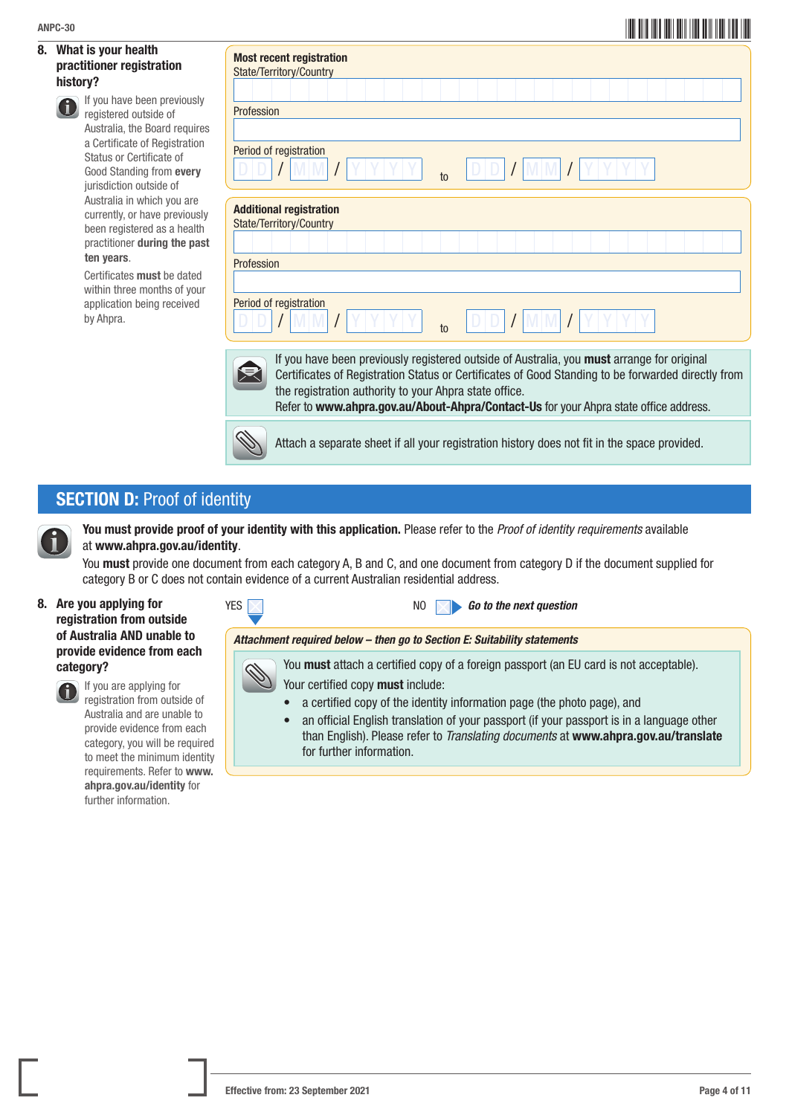#### 8. What is your health practitioner registration history?

|    | ANPC-30                                                                                                                                                                                                                                                                   |                                                                                                                                                                                                                                                                                                                                                     |
|----|---------------------------------------------------------------------------------------------------------------------------------------------------------------------------------------------------------------------------------------------------------------------------|-----------------------------------------------------------------------------------------------------------------------------------------------------------------------------------------------------------------------------------------------------------------------------------------------------------------------------------------------------|
| 8. | What is your health<br>practitioner registration<br>history?<br>If you have been previously<br>registered outside of<br>Australia, the Board requires<br>a Certificate of Registration<br>Status or Certificate of<br>Good Standing from every<br>jurisdiction outside of | <b>Most recent registration</b><br>State/Territory/Country<br>Profession<br>Period of registration<br>$t_0$                                                                                                                                                                                                                                         |
|    | Australia in which you are<br>currently, or have previously<br>been registered as a health<br>practitioner during the past<br>ten years.<br>Certificates must be dated<br>within three months of your<br>application being received<br>by Ahpra.                          | <b>Additional registration</b><br>State/Territory/Country<br>Profession<br>Period of registration<br>$\mathsf{t}$                                                                                                                                                                                                                                   |
|    |                                                                                                                                                                                                                                                                           | If you have been previously registered outside of Australia, you must arrange for original<br>Certificates of Registration Status or Certificates of Good Standing to be forwarded directly from<br>the registration authority to your Ahpra state office.<br>Refer to www.ahpra.gov.au/About-Ahpra/Contact-Us for your Ahpra state office address. |
|    |                                                                                                                                                                                                                                                                           | Attach a separate sheet if all your registration history does not fit in the space provided.                                                                                                                                                                                                                                                        |

## **SECTION D: Proof of identity**



You must provide proof of your identity with this application. Please refer to the *Proof of identity requirements* available at www.ahpra.gov.au/identity.

You must provide one document from each category A, B and C, and one document from category D if the document supplied for category B or C does not contain evidence of a current Australian residential address.

8. Are you applying for registration from outside of Australia AND unable to provide evidence from each category?



 If you are applying for registration from outside of Australia and are unable to provide evidence from each category, you will be required to meet the minimum identity requirements. Refer to [www.](http://www.ahpra.gov.au/identity) [ahpra.gov.au/identity](http://www.ahpra.gov.au/identity) for further information.







You **must** attach a certified copy of a foreign passport (an EU card is not acceptable). Your certified copy must include:

- a certified copy of the identity information page (the photo page), and
- an official English translation of your passport (if your passport is in a language other than English). Please refer to *Translating documents* at www.ahpra.gov.au/translate for further information.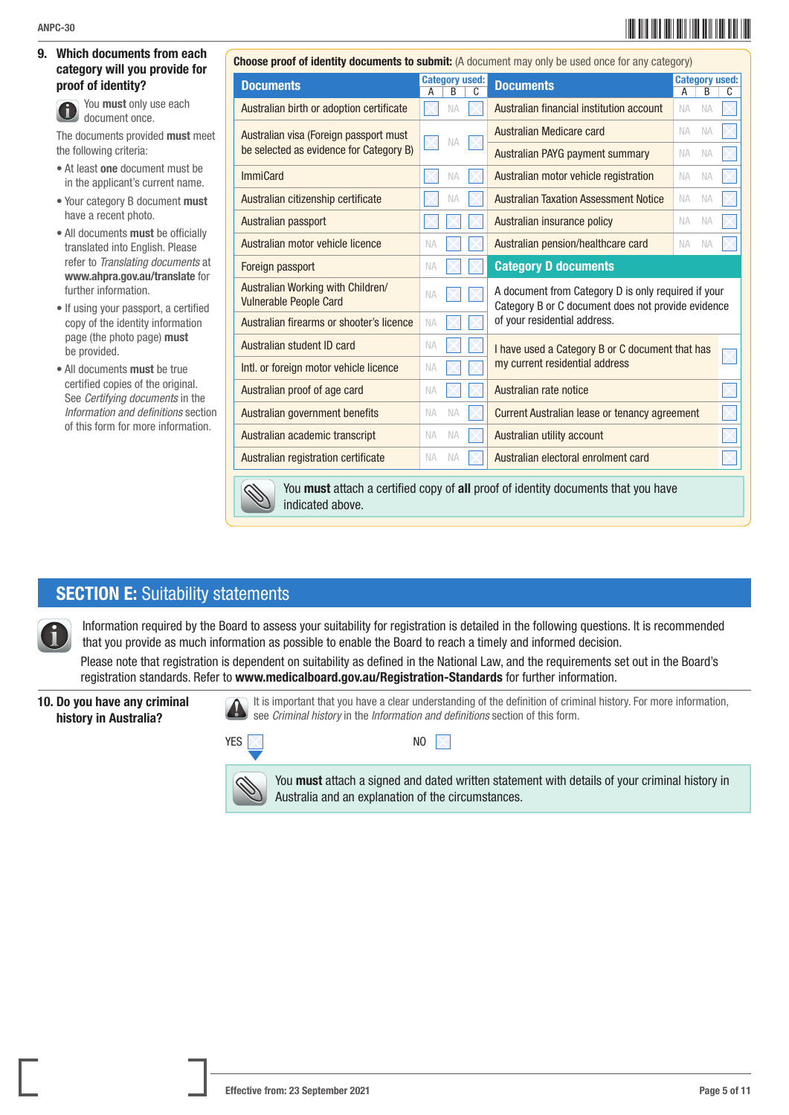#### 9. Which documents from each category will you provide for proof of identity?

 You must only use each document once.

The documents provided must meet the following criteria:

- At least one document must be in the applicant's current name.
- Your category B document must have a recent photo.
- All documents must be officially translated into English. Please refer to *Translating documents* at www.ahpra.gov.au/translate for further information.
- If using your passport, a certified copy of the identity information page (the photo page) must be provided.
- All documents must be true certified copies of the original. See *Certifying documents* in the *Information and definitions* section of this form for more information.

|                                                                    |                            | Choose proof of identity documents to submit: (A document may only be used once for any category)         |   |
|--------------------------------------------------------------------|----------------------------|-----------------------------------------------------------------------------------------------------------|---|
| <b>Documents</b>                                                   | <b>Category used:</b><br>B | <b>Category used:</b><br><b>Documents</b><br>B<br>A                                                       | C |
| Australian birth or adoption certificate                           | <b>NA</b>                  | Australian financial institution account<br><b>NA</b><br><b>NA</b>                                        |   |
| Australian visa (Foreign passport must                             | <b>NA</b>                  | Australian Medicare card<br><b>NA</b><br><b>NA</b>                                                        |   |
| be selected as evidence for Category B)                            |                            | Australian PAYG payment summary<br><b>NA</b><br><b>NA</b>                                                 |   |
| <b>ImmiCard</b>                                                    | <b>NA</b>                  | Australian motor vehicle registration<br><b>NA</b><br><b>NA</b>                                           |   |
| Australian citizenship certificate                                 | <b>NA</b>                  | <b>Australian Taxation Assessment Notice</b><br><b>NA</b><br><b>NA</b>                                    |   |
| Australian passport                                                |                            | Australian insurance policy<br><b>NA</b><br><b>NA</b>                                                     |   |
| Australian motor vehicle licence                                   | <b>NA</b>                  | Australian pension/healthcare card<br><b>NA</b><br><b>NA</b>                                              |   |
| Foreign passport                                                   | <b>NA</b>                  | <b>Category D documents</b>                                                                               |   |
| Australian Working with Children/<br><b>Vulnerable People Card</b> | <b>NA</b>                  | A document from Category D is only required if your<br>Category B or C document does not provide evidence |   |
| Australian firearms or shooter's licence                           | <b>NA</b>                  | of your residential address.                                                                              |   |
| Australian student ID card                                         | <b>NA</b>                  | I have used a Category B or C document that has                                                           |   |
| Intl. or foreign motor vehicle licence                             | <b>NA</b>                  | my current residential address                                                                            |   |
| Australian proof of age card                                       | <b>NA</b>                  | Australian rate notice                                                                                    |   |
| Australian government benefits                                     | <b>NA</b><br><b>NA</b>     | Current Australian lease or tenancy agreement                                                             |   |
| Australian academic transcript                                     | <b>NA</b><br><b>NA</b>     | Australian utility account                                                                                |   |
| Australian registration certificate                                | <b>NA</b><br><b>NA</b>     | Australian electoral enrolment card                                                                       |   |
| $\sim$                                                             |                            | <u>Vou must attach a certified conv</u> of all proof of identity documents that you have                  |   |



 You must attach a certified copy of all proof of identity documents that you have indicated above.

### **SECTION E:** Suitability statements

 Information required by the Board to assess your suitability for registration is detailed in the following questions. It is recommended that you provide as much information as possible to enable the Board to reach a timely and informed decision.

Please note that registration is dependent on suitability as defined in the National Law, and the requirements set out in the Board's registration standards. Refer to www.medicalboard.gov.au/Registration-Standards for further information.

#### 10. Do you have any criminal history in Australia?

 It is important that you have a clear understanding of the definition of criminal history. For more information, see *Criminal history* in the *Information and definitions* section of this form.





You **must** attach a signed and dated written statement with details of your criminal history in Australia and an explanation of the circumstances.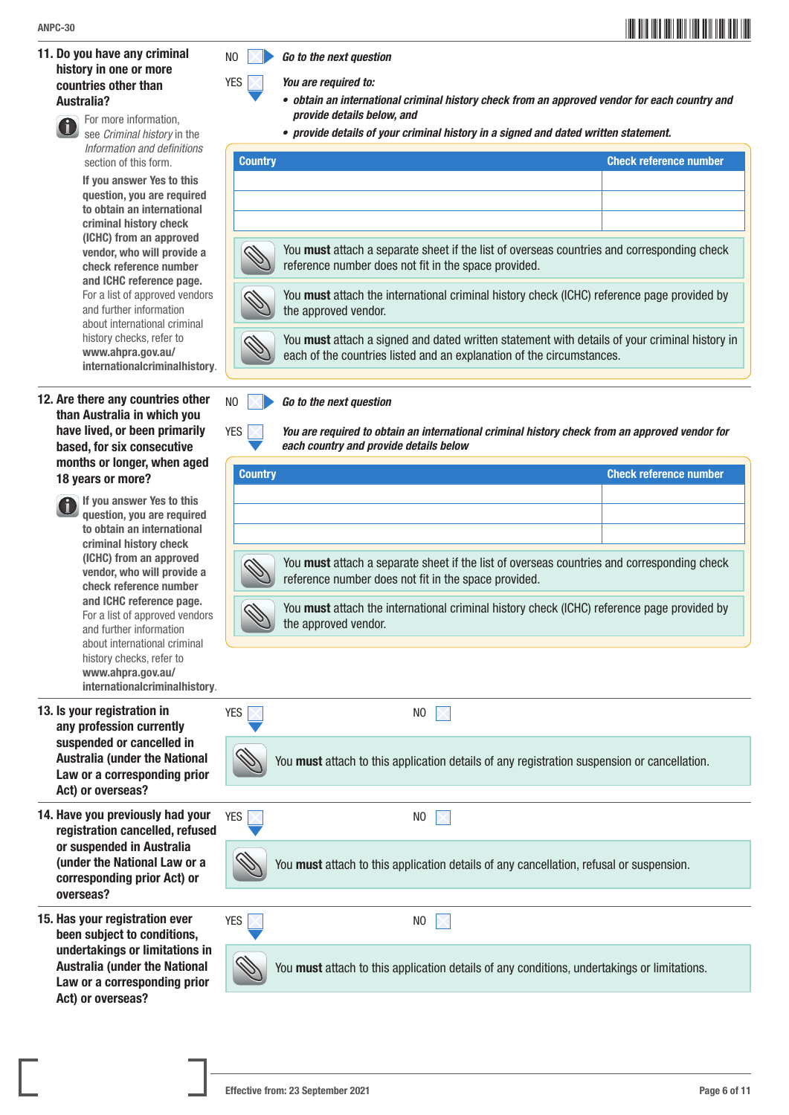#### 11. Do you have any criminal history in one or more countries other than Australia?

# For more information,

see *Criminal history* in the *Information and definitions* section of this form.

If you answer Yes to this question, you are required to obtain an international criminal history check (ICHC) from an approved vendor, who will provide a check reference number and ICHC reference page. For a list of approved vendors and further information about international criminal history checks, refer to www.ahpra.gov.au/ internationalcriminalhistory.

#### 12. Are there any countries other than Australia in which you have lived, or been primarily based, for six consecutive months or longer, when aged 18 years or more?

 If you answer Yes to this question, you are required to obtain an international criminal history check (ICHC) from an approved vendor, who will provide a check reference number and ICHC reference page. For a list of approved vendors and further information about international criminal history checks, refer to www.ahpra.gov.au/ internationalcriminalhistory.

#### 13. Is your registrat any profession o suspended or ca Australia (under Law or a corres Act) or overseas

14. Have you previo registration can or suspended in (under the Natio corresponding p overseas?

15. Has your registr been subject to undertakings or Australia (under Law or a corresponding prior Act) or overseas?



YES *You are required to:*

- *• obtain an international criminal history check from an approved vendor for each country and provide details below, and*
- *• provide details of your criminal history in a signed and dated written statement.*

| <b>Country</b>                                                                                                                                                         | <b>Check reference number</b> |
|------------------------------------------------------------------------------------------------------------------------------------------------------------------------|-------------------------------|
|                                                                                                                                                                        |                               |
|                                                                                                                                                                        |                               |
|                                                                                                                                                                        |                               |
| You must attach a separate sheet if the list of overseas countries and corresponding check<br>reference number does not fit in the space provided.                     |                               |
| You must attach the international criminal history check (ICHC) reference page provided by<br>the approved vendor.                                                     |                               |
| You must attach a signed and dated written statement with details of your criminal history in<br>each of the countries listed and an explanation of the circumstances. |                               |

NO *Go to the next question*

YES *You are required to obtain an international criminal history check from an approved vendor for each country and provide details below*

| <b>Country</b>                                                                                                                                     | <b>Check reference number</b> |
|----------------------------------------------------------------------------------------------------------------------------------------------------|-------------------------------|
|                                                                                                                                                    |                               |
|                                                                                                                                                    |                               |
|                                                                                                                                                    |                               |
| You must attach a separate sheet if the list of overseas countries and corresponding check<br>reference number does not fit in the space provided. |                               |
| You must attach the international criminal history check (ICHC) reference page provided by<br>the approved vendor.                                 |                               |

| ion in<br>currently                                | YES | NO                                                                                          |
|----------------------------------------------------|-----|---------------------------------------------------------------------------------------------|
| ancelled in<br>the National<br>ponding prior<br>:2 |     | You must attach to this application details of any registration suspension or cancellation. |
|                                                    |     |                                                                                             |
| usly had your<br>celled, refused                   | YES | NO.                                                                                         |
| <b>Australia</b><br>nal Law or a<br>rior Act) or   |     | You must attach to this application details of any cancellation, refusal or suspension.     |
|                                                    |     |                                                                                             |
| ation ever<br>conditions,                          | YES | NO.                                                                                         |
| limitations in<br>the National '<br>nanding nuiau  |     | You must attach to this application details of any conditions, undertakings or limitations. |

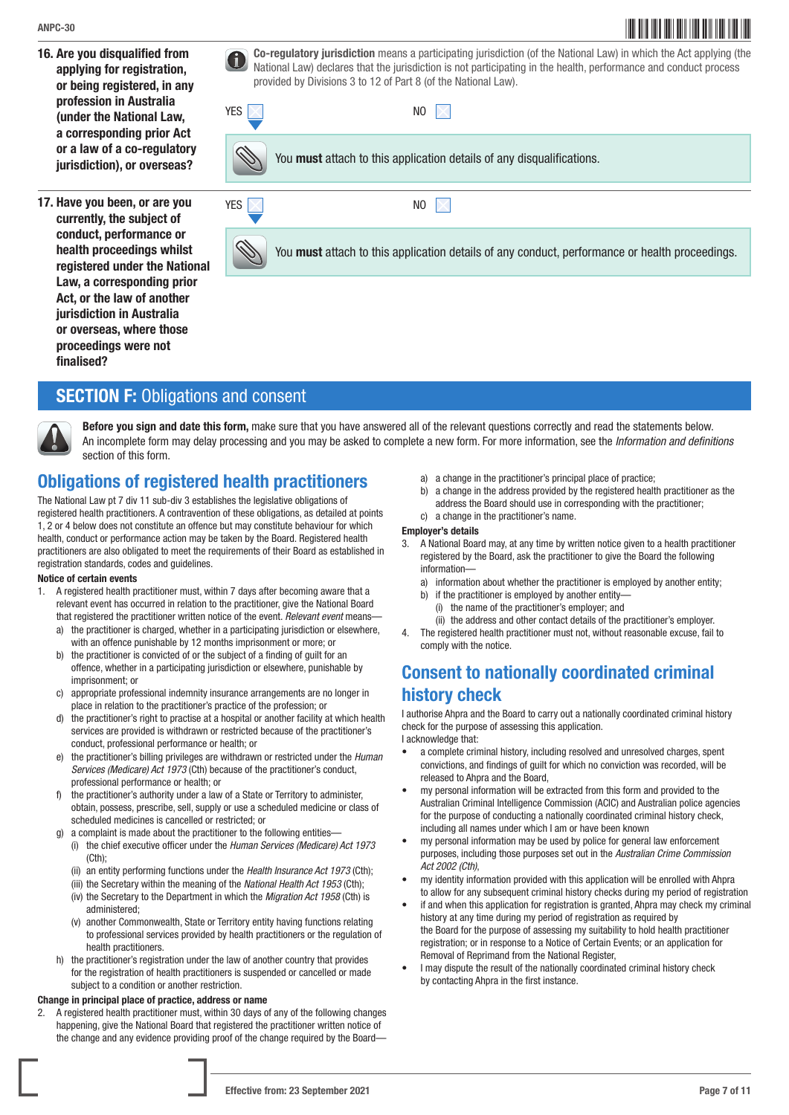- 16. Are you disqualified from applying for registration, or being registered, in any profession in Australia (under the National Law, a corresponding prior Act or a law of a co-regulatory jurisdiction), or overseas?
- 17. Have you been, or are you currently, the subject of conduct, performance or health proceedings whilst registered under the National Law, a corresponding prior Act, or the law of another jurisdiction in Australia or overseas, where those proceedings were not finalised?

Co-regulatory jurisdiction means a participating jurisdiction (of the National Law) in which the Act applying (the National Law) declered to incidential and conduct applying (the National Law) declered that the incidential National Law) declares that the jurisdiction is not participating in the health, performance and conduct process provided by Divisions 3 to 12 of Part 8 (of the National Law).



You must attach to this application details of any conduct, performance or health proceedings.

### **SECTION F: Obligations and consent**



Before you sign and date this form, make sure that you have answered all of the relevant questions correctly and read the statements below. An incomplete form may delay processing and you may be asked to complete a new form. For more information, see the *Information and definitions*  section of this form.

## Obligations of registered health practitioners

The National Law pt 7 div 11 sub-div 3 establishes the legislative obligations of registered health practitioners. A contravention of these obligations, as detailed at points 1, 2 or 4 below does not constitute an offence but may constitute behaviour for which health, conduct or performance action may be taken by the Board. Registered health practitioners are also obligated to meet the requirements of their Board as established in registration standards, codes and guidelines.

#### Notice of certain events

- 1. A registered health practitioner must, within 7 days after becoming aware that a relevant event has occurred in relation to the practitioner, give the National Board that registered the practitioner written notice of the event. *Relevant event* means
	- a) the practitioner is charged, whether in a participating jurisdiction or elsewhere, with an offence punishable by 12 months imprisonment or more; or
	- b) the practitioner is convicted of or the subject of a finding of guilt for an offence, whether in a participating jurisdiction or elsewhere, punishable by imprisonment; or
	- c) appropriate professional indemnity insurance arrangements are no longer in place in relation to the practitioner's practice of the profession; or
	- d) the practitioner's right to practise at a hospital or another facility at which health services are provided is withdrawn or restricted because of the practitioner's conduct, professional performance or health; or
	- the practitioner's billing privileges are withdrawn or restricted under the *Human Services (Medicare) Act 1973* (Cth) because of the practitioner's conduct, professional performance or health; or
	- the practitioner's authority under a law of a State or Territory to administer, obtain, possess, prescribe, sell, supply or use a scheduled medicine or class of scheduled medicines is cancelled or restricted; or
	- g) a complaint is made about the practitioner to the following entities—
		- (i) the chief executive officer under the *Human Services (Medicare) Act 1973*  $(Cth)$ :
		- (ii) an entity performing functions under the *Health Insurance Act 1973* (Cth);
		- (iii) the Secretary within the meaning of the *National Health Act 1953* (Cth);
		- (iv) the Secretary to the Department in which the *Migration Act 1958* (Cth) is administered;
		- (v) another Commonwealth, State or Territory entity having functions relating to professional services provided by health practitioners or the regulation of health practitioners.
	- h) the practitioner's registration under the law of another country that provides for the registration of health practitioners is suspended or cancelled or made subject to a condition or another restriction.

#### Change in principal place of practice, address or name

2. A registered health practitioner must, within 30 days of any of the following changes happening, give the National Board that registered the practitioner written notice of the change and any evidence providing proof of the change required by the Board—

- a) a change in the practitioner's principal place of practice;
- b) a change in the address provided by the registered health practitioner as the address the Board should use in corresponding with the practitioner; c) a change in the practitioner's name.

#### Employer's details

- 3. A National Board may, at any time by written notice given to a health practitioner registered by the Board, ask the practitioner to give the Board the following information
	- a) information about whether the practitioner is employed by another entity;
	- b) if the practitioner is employed by another entity-
		- (i) the name of the practitioner's employer; and
	- (ii) the address and other contact details of the practitioner's employer.
- 4. The registered health practitioner must not, without reasonable excuse, fail to comply with the notice.

## Consent to nationally coordinated criminal history check

I authorise Ahpra and the Board to carry out a nationally coordinated criminal history check for the purpose of assessing this application.

I acknowledge that:

- a complete criminal history, including resolved and unresolved charges, spent convictions, and findings of guilt for which no conviction was recorded, will be released to Ahpra and the Board,
- my personal information will be extracted from this form and provided to the Australian Criminal Intelligence Commission (ACIC) and Australian police agencies for the purpose of conducting a nationally coordinated criminal history check, including all names under which I am or have been known
- my personal information may be used by police for general law enforcement purposes, including those purposes set out in the *Australian Crime Commission Act 2002 (Cth)*,
- my identity information provided with this application will be enrolled with Ahpra to allow for any subsequent criminal history checks during my period of registration
- if and when this application for registration is granted, Ahpra may check my criminal history at any time during my period of registration as required by the Board for the purpose of assessing my suitability to hold health practitioner registration; or in response to a Notice of Certain Events; or an application for Removal of Reprimand from the National Register,
- I may dispute the result of the nationally coordinated criminal history check by contacting Ahpra in the first instance.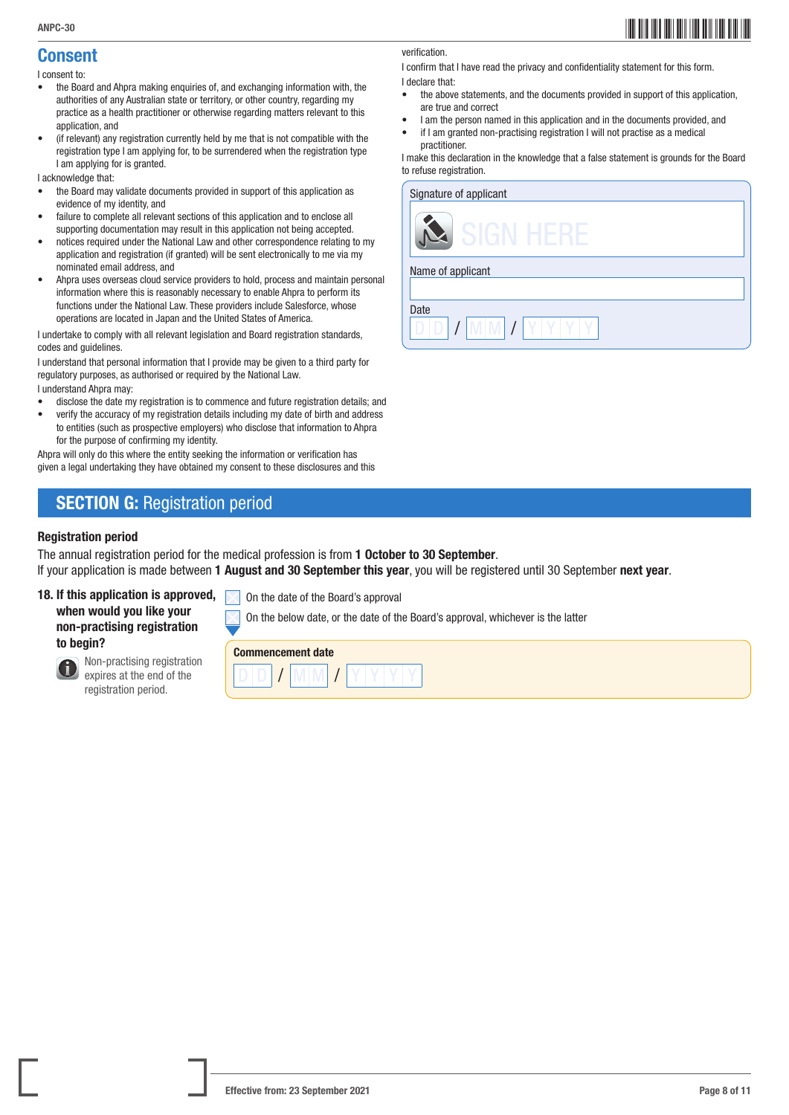## ANPC-30 **AND** AND THE RESERVE TO A RESERVE TO A RESERVE TO A RESERVE TO A RESERVE TO A RESERVE TO A RESERVE TO A RESERVE TO A RESERVE TO A RESERVE TO A RESERVE TO A RESERVE TO A RESERVE TO A RESERVE TO A RESERVE TO A RESER

#### Consent I consent to:

- the Board and Ahpra making enquiries of, and exchanging information with, the authorities of any Australian state or territory, or other country, regarding my practice as a health practitioner or otherwise regarding matters relevant to this application, and
- (if relevant) any registration currently held by me that is not compatible with the registration type I am applying for, to be surrendered when the registration type I am applying for is granted.

I acknowledge that:

- the Board may validate documents provided in support of this application as evidence of my identity, and
- failure to complete all relevant sections of this application and to enclose all supporting documentation may result in this application not being accepted.
- notices required under the National Law and other correspondence relating to my application and registration (if granted) will be sent electronically to me via my nominated email address, and
- Ahpra uses overseas cloud service providers to hold, process and maintain personal information where this is reasonably necessary to enable Ahpra to perform its functions under the National Law. These providers include Salesforce, whose operations are located in Japan and the United States of America.

I undertake to comply with all relevant legislation and Board registration standards, codes and guidelines.

I understand that personal information that I provide may be given to a third party for regulatory purposes, as authorised or required by the National Law.

I understand Ahpra may:

- disclose the date my registration is to commence and future registration details; and
- verify the accuracy of my registration details including my date of birth and address to entities (such as prospective employers) who disclose that information to Ahpra for the purpose of confirming my identity.

Ahpra will only do this where the entity seeking the information or verification has given a legal undertaking they have obtained my consent to these disclosures and this

## **SECTION G: Registration period**

#### Registration period

The annual registration period for the medical profession is from 1 October to 30 September.

If your application is made between 1 August and 30 September this year, you will be registered until 30 September next year.

On the below date, or the date of the Board's approval, whichever is the latter

#### 18. If this application is approved, when would you like your non-practising registration to begin?



 Non-practising registration expires at the end of the registration period.



On the date of the Board's approval

#### verification.

I confirm that I have read the privacy and confidentiality statement for this form. I declare that:

- the above statements, and the documents provided in support of this application, are true and correct
- I am the person named in this application and in the documents provided, and
- if I am granted non-practising registration I will not practise as a medical practitioner.

I make this declaration in the knowledge that a false statement is grounds for the Board to refuse registration.

| Signature of applicant |
|------------------------|
| नान                    |
| Name of applicant      |
|                        |
| Date                   |
|                        |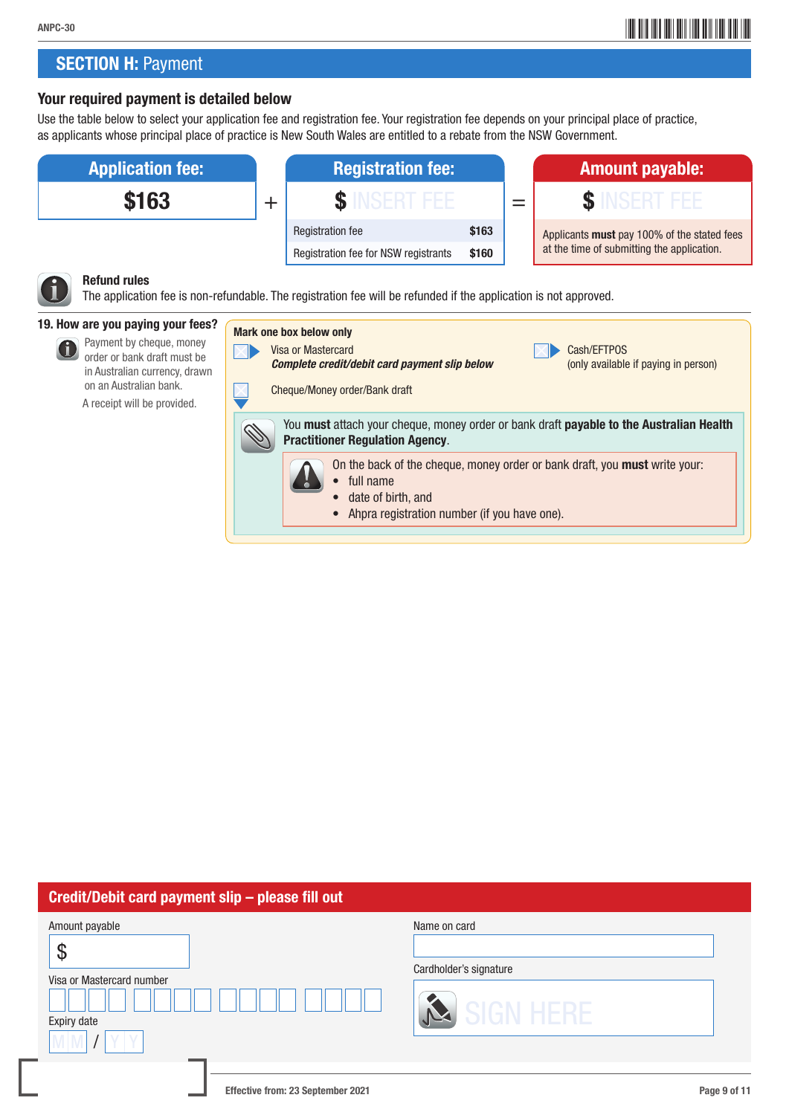## **SECTION H: Payment**

### Your required payment is detailed below

Use the table below to select your application fee and registration fee. Your registration fee depends on your principal place of practice, as applicants whose principal place of practice is New South Wales are entitled to a rebate from the NSW Government.



| Credit/Debit card payment slip - please fill out                |                                                   |  |  |  |
|-----------------------------------------------------------------|---------------------------------------------------|--|--|--|
| Amount payable<br>Φ<br>Visa or Mastercard number<br>Expiry date | Name on card<br>Cardholder's signature<br>IGN HER |  |  |  |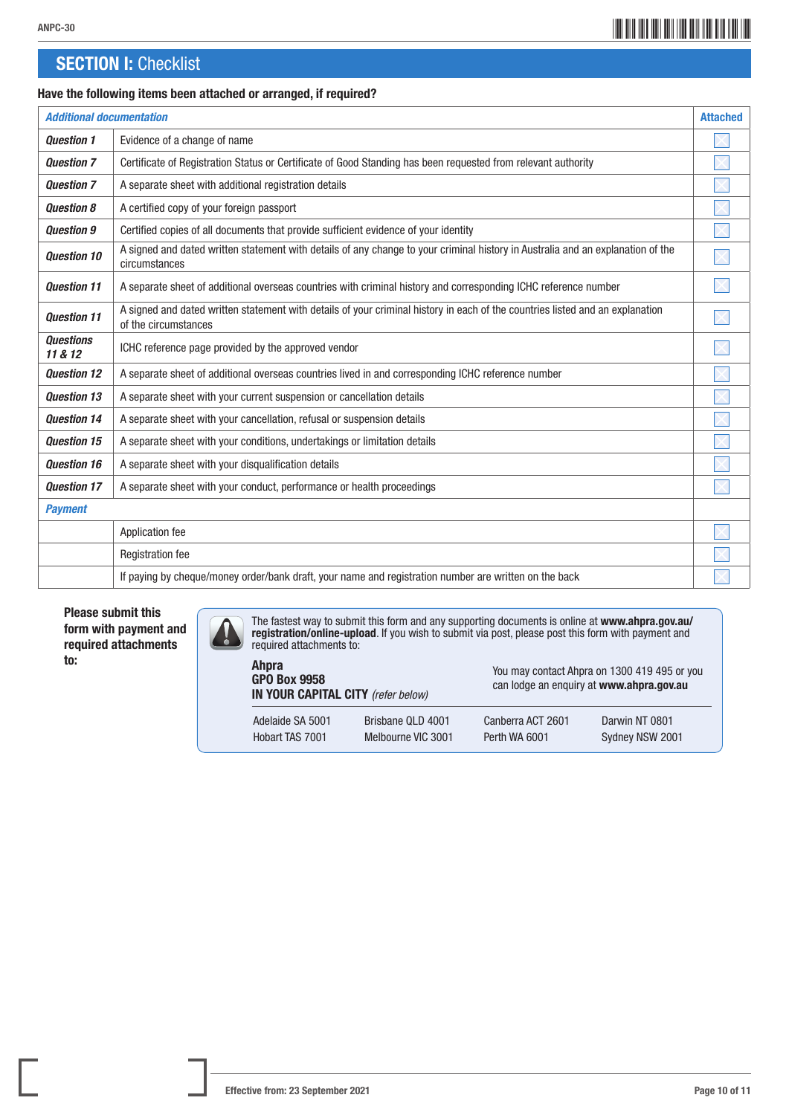## \*ANPC-3010\* ANPC-30

## **SECTION I: Checklist**

#### Have the following items been attached or arranged, if required?

| <b>Additional documentation</b> |                                                                                                                                                       |  |
|---------------------------------|-------------------------------------------------------------------------------------------------------------------------------------------------------|--|
| <b>Question 1</b>               | Evidence of a change of name                                                                                                                          |  |
| <b>Question 7</b>               | Certificate of Registration Status or Certificate of Good Standing has been requested from relevant authority                                         |  |
| <b>Question 7</b>               | A separate sheet with additional registration details                                                                                                 |  |
| <b>Question 8</b>               | A certified copy of your foreign passport                                                                                                             |  |
| <b>Question 9</b>               | Certified copies of all documents that provide sufficient evidence of your identity                                                                   |  |
| <b>Question 10</b>              | A signed and dated written statement with details of any change to your criminal history in Australia and an explanation of the<br>circumstances      |  |
| <b>Ouestion 11</b>              | A separate sheet of additional overseas countries with criminal history and corresponding ICHC reference number                                       |  |
| <b>Ouestion 11</b>              | A signed and dated written statement with details of your criminal history in each of the countries listed and an explanation<br>of the circumstances |  |
| <b>Questions</b><br>11 & 12     | ICHC reference page provided by the approved vendor                                                                                                   |  |
| <b>Question 12</b>              | A separate sheet of additional overseas countries lived in and corresponding ICHC reference number                                                    |  |
| <b>Question 13</b>              | A separate sheet with your current suspension or cancellation details                                                                                 |  |
| <b>Question 14</b>              | A separate sheet with your cancellation, refusal or suspension details                                                                                |  |
| <b>Question 15</b>              | A separate sheet with your conditions, undertakings or limitation details                                                                             |  |
| <b>Ouestion 16</b>              | A separate sheet with your disqualification details                                                                                                   |  |
| <b>Question 17</b>              | A separate sheet with your conduct, performance or health proceedings                                                                                 |  |
| <b>Payment</b>                  |                                                                                                                                                       |  |
|                                 | Application fee                                                                                                                                       |  |
|                                 | <b>Registration fee</b>                                                                                                                               |  |
|                                 | If paying by cheque/money order/bank draft, your name and registration number are written on the back                                                 |  |

Please submit this form with payment and required attachments to:

The fastest way to submit this form and any supporting documents is online at [www.ahpra.gov.au/](http://www.ahpra.gov.au/registration/online-upload) [registration/online-upload](http://www.ahpra.gov.au/registration/online-upload). If you wish to submit via post, please post this form with payment and  $\frac{1}{2}$ required attachments to:

| <b>Ahpra</b><br><b>GPO Box 9958</b><br>IN YOUR CAPITAL CITY (refer below) |                    | You may contact Ahpra on 1300 419 495 or you<br>can lodge an enguiry at www.ahpra.gov.au |                 |
|---------------------------------------------------------------------------|--------------------|------------------------------------------------------------------------------------------|-----------------|
| Adelaide SA 5001                                                          | Brisbane QLD 4001  | Canberra ACT 2601                                                                        | Darwin NT 0801  |
| Hobart TAS 7001                                                           | Melbourne VIC 3001 | Perth WA 6001                                                                            | Sydney NSW 2001 |